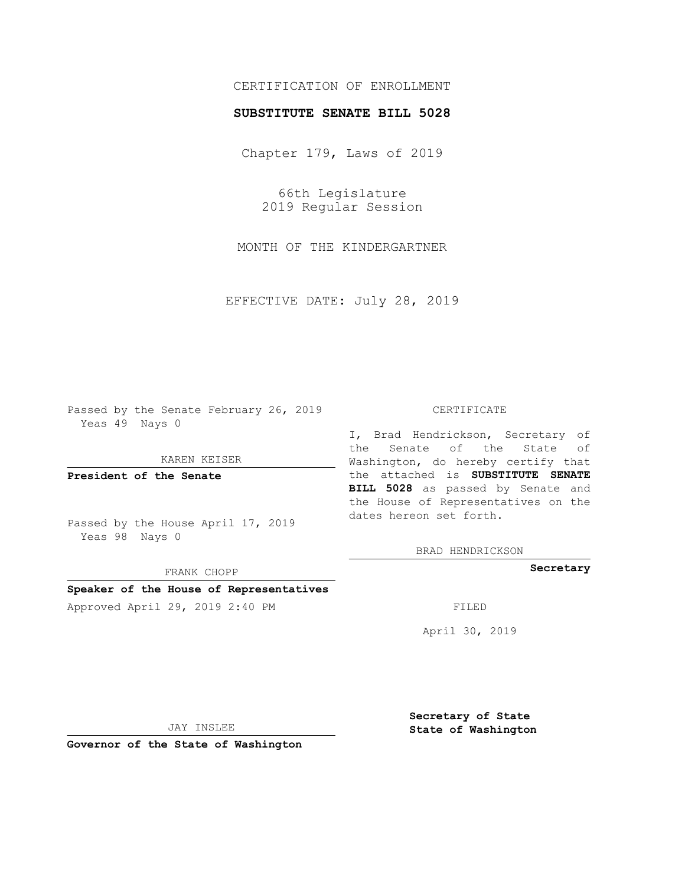# CERTIFICATION OF ENROLLMENT

### **SUBSTITUTE SENATE BILL 5028**

Chapter 179, Laws of 2019

66th Legislature 2019 Regular Session

MONTH OF THE KINDERGARTNER

EFFECTIVE DATE: July 28, 2019

Passed by the Senate February 26, 2019 Yeas 49 Nays 0

KAREN KEISER

**President of the Senate**

Passed by the House April 17, 2019 Yeas 98 Nays 0

FRANK CHOPP

# **Speaker of the House of Representatives**

Approved April 29, 2019 2:40 PM FILED

#### CERTIFICATE

I, Brad Hendrickson, Secretary of the Senate of the State of Washington, do hereby certify that the attached is **SUBSTITUTE SENATE BILL 5028** as passed by Senate and the House of Representatives on the dates hereon set forth.

BRAD HENDRICKSON

**Secretary**

April 30, 2019

JAY INSLEE

**Governor of the State of Washington**

**Secretary of State State of Washington**